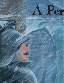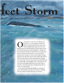## rfect Storm

**by** STEPHANIE GILLETT **by** STEPHANIE GILLETT ILLUSTRATIONS CAROLYN DAMSTRA ILLUSTRATIONS CAROLYN DAMSTRA

n November 10, 1913, the *J. H. Sheadle*, captained by S. A. Lyons, lumbered toward Fort<br>Gratiot. Lake Huron had not been kind to the<br>530-foot straight-decker these past few hours.<br>Blinding snow and winds upwards of sevent tained by S. A. Lyons, lumbered toward Fort Gratiot. Lake Huron had not been kind to the 530-foot straight-decker these past few hours. had almost beaten her crew into submission. "Rough seas" did not begin to describe the thirty-five-foot waves that punished the steamer's superstructure. A few hours before, Captain Lyons, a former St. Clair County resident, was dangling from the top house wall, his legs parallel with the floor, while his ship turned to avoid running aground. Though Lyons hoped the worst was over, lying in the path before him was a grisly sight. A steel freighter had "turned turtle" in the storm and was floating upside down, just north of the St. Clair River. Oil barrels and other wreckage floated about a quarter of a mile leeward.

Lyons passed the hull of the wreckage at a distance of about a thousand feet and tried not to study the bobbing mass too closely. He feared there were no survivors.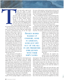hree days earlier, a gale was far from the minds of sailors preparing to embark on the lower Great Lakes. The weather was mild and clear, nearly sixty degrees, and held promise that ships would make their last run of the season without incident. Though it was early in the month, November was providing an unseasonably warm end to the 1913 shipping season, one of the safest since the turn of the century—only ten deaths that year, far safer than Face<br>
Gree<br>
and clean<br>
promise t<br>
and clean<br>
promise t<br>
run of<br>
Though<br>
Novembe<br>
warm en<br>
one of the<br>
tury—only te<br>
the several dozen lives the<br>
The storm blowing on<br>
than a two-sentence news

the several dozen lives the Great Lakes usually claimed.

The storm blowing on Lake Superior was hardly more than a two-sentence news item in that day's paper thanks to downed communication lines all over the Upper

Peninsula. Sailors south of Sault Ste. Marie had no idea that a gale was coming from the west. But they may have heard about the storm building in the south. Mentioned as an afterthought in most newspapers, the lowpressure system in Virginia was said to be heading north, intensifying over the Appalachian Mountains. In 1913 weather forecasting was as much luck as it was science. Weather bureaus did not see that these two systems were set on a deadly course over the Great Lakes, where blinding snow and hurricane force winds would claim many ships and their crews.

In the early hours of November 9, the *Charles S. Price* was sneaking out of the mouth of the St. Clair River, a

load of coal in her cargo hold due into a Lake Superior port a few days hence. It was starting to snow, but Captain William Black and crew proceeded undaunted. Though many sailors kept a skeptical eye on the western horizon in November, the *Price* was not home to a superstitious lot. At least, not anymore. Just four days before, first assistant engineer Milton Smith resigned his position because of a "feeling of foreboding" and headed home to the wife and six children waiting for him in Port Huron. This same feeling was not weighing heavy on the minds of the twenty-eight sailors remaining on board. They only wanted to get this last run out of the way so they could return to their families.

Captain Edward McConkey of the S.S. *Regina* was readying the 235-foot package freighter to make her last run of the season, delivering hay, wooden matches and sewer and gas pipe to the Georgian Bay. Though wind was picking up and the temperature was dropping, the *Regina* still departed at 7:30 on Sunday morning, November 9.

The *J. H. Sheadle* had spent her early morning hours taking on fuel near Alpena, and then continued southbound on her way to Erie, Pennsylvania, with a load of grain. By 11:30 A.M. Sunday, Captain Lyons found himself changing his ship's course just to keep her on track, as the seas were kicking up. Winds were blowing due north at about forty miles an hour and seemed to be picking up speed.

Four hours into his journey, the captain of the Regina reconsidered this northern path. Much like the *Sheadle*, his freighter was being battered by suddenly rough waters, and McConkey thought it prudent to head back to the St. Clair River. The pipe he carried made the turn potentially

> dangerous, as it became frozen to the deck by waves coating the boat with deadly sheets of ice. The package freighter could roll like a log with the help of the top-heavy cargo, but their chances in this worsening storm did not look much better. With his ship's engines revving, McConkey tempted fate and won. His ship was badly jostled in the heavy seas, but stayed upright as it turned southbound. However, swirling snow impeded visibility and McConkey could neither see shore nor sea as he headed in the general direction of what he thought was deep water.

> Weather-wise, the southern lowpressure system was pushing against the gale headed south and east from

Lake Superior. The two systems never actually met, but by mid-afternoon on November 9 the result of their atmospheric interaction was a fury of snow, wind and sea. Both storms gained energy from the still-warm waters of the Great Lakes. The product of these clashing systems was whiteout blizzard conditions and winds that climbed to seventy miles per hour.

Captains McConkey, Black and Lyons had been, until now, navigating in bad weather. Now they were trying to find their way to safety in a cataclysmic meteorological event. The Sheadle was suddenly experiencing vicious high seas, "one wave following another very closely," later Captain Lyons later reported in *The Marine Review*. "Owing to the sudden force of the wind, the seas had not lengthened out as they

WASHED UP ONSHORE, SOME IN LIFEBOATS, SOME JUST SPIT OUT OF THE SEA IN LIFE PRESERVERS EMBLAZONED WITH THEIR SHIP'S NAMES.

**FROZEN BODIES**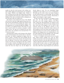usually do when the wind increases in the ordinary way." These sudden raging waves thwarted the crew's attempts to have supper. Windows and skylights broke. Volumes of water cascaded into the cabin and washed their provisions away, leaving them with a ham and a couple of potatoes. The bulkhead of the cabin was buckled and the working boat on top of the after cabin was washed away.

Lake Huron's waves battered the men of the *Sheadle* with such force that they fought against being swept overboard as they tried fruitlessly to shutter the windows of the ship. Two of the men stood throttling the engines, water drenching them as it cascaded through the skylights. "I do not think it ever happened before when these two men had to stand by these two positions constantly," recalled Captain Lyons. The ship was so burdened by the waves that at times "her revolutions were decreased from 75 to 35 turns per minute."

Having decided to follow in the footsteps of the *Charles S. Price* and head back for the mouth of the St. Clair River, McConkey was blindly navigating the *Regina* when he heard a thump, a dreaded noise that probably had his heart sinking to the pit of his stomach. He feared the ship had run aground. It had been nearly impossible in the storm to see where he was going and, with only a compass and his sailor's intuition, the *Regina* had made her way into too-shallow water. Quickly, the wheelsman must have turned the boat into deeper seas, but the *Regina* was

already taking on water. The crew immediately began pumping the water intake out. In an act of desperation, McConkey gave the order to throw out anchor, hoping to save the steam pressure to work the bilge. The iron chains made their way to the bottom of Huron. Miraculously, it caught, and the *Regina*'s engine stopped.

In spite of the heroic attempts by the Regina's twentyman crew, the ship became quickly waterlogged. McConkey, one of the youngest captains on the Great Lakes, ordered the ship abandoned. He watched at least one of the lifeboats get off from the ship, heading toward shore with some of the *Regina*'s crew. In order to alert someone—anyone—to the lifeboat's presence on the stormy waters, the ship's whistle blew steady, a distress call still recognized on the Great Lakes today. People on shore reported hearing it for at least an hour, though they were helpless in the raging storm to do anything about it. His men safely deployed from the damaged vessel, McConkey sat alone on his ship and waited for the inevitable.

On the *J. H. Sheadle*, Lyons had his own set of problems. Depth sounder readings were cause for alarm. Unable to locate land or the Fort Gratiot light in the storm, he made the decision to turn the ship and head out to sea. A ship run aground in this kind of sea was doomed; waves would pound the ship to pieces. At 10:00 Sunday night, Lyons gave the order to turn the *Sheadle* north half east, aware that a shift of her cargo during the turn could mean

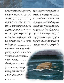a rollover. The binnacle, a heavy stand for the ship's compass, broke loose during the turn and created a hazard for those in the pilothouse. By midnight on November 9, land measurements in Port Sanilac measured wind velocity exceeding 80 miles per hour—hurricane force. A ship off Harbor Beach in southern Lake Huron reported 90-milean-hour gusts.

Constant use of the *Sheadle*'s deepsea lead during this foul weather made Captain Lyons fairly confident of his position. At 4:15 A.M., in the midst of hurricane force winds, he turned the ship again to keep it from running aground. This time, the rolling was so severe that the captain was lifted right off his feet. "Only by the greatest effort were the second Mate and myself able to hold onto the stanchions on the top house, our legs being parallel with the deck most of the time," he reported.

When the *Sheadle* turned once more a couple hours later, the wind had finally died down some, and the seas, though still rough, did not give the ship too much trouble. The storm had blown for nearly twenty-six hours. Exhausted and shaken, ship and crew headed toward Fort Gratiot and the mouth of the St. Clair River where they hoped to put thoughts of their harrowing experiences behind them. Instead, floating upside down in the water was a gruesome reminder of how their last shipping run could have turned sour.

In the eerie calm that followed the massive storm, Michiganians wondered at the extent of the damage this four-day storm caused. Streetcars were snowbound and telegraph and power services were disrupted. A casino in the Port Huron area was totally destroyed. But nothing was so disheartening as the thought of all the men that could be lost at sea. Quickly all eyes turned to the lakes in hopes that Michigan's sailors would return home safely.

It was not to happen. As lines of communication were repaired from one end of the state to the other, grim reports rolled in.

Near Port Frank, Ontario, Lake Huron began to give up its dead. Frozen bodies washed up onshore, some in lifeboats, some just spit out of the sea in life preservers emblazoned with their ship's names. With each new body came the solemn realization that yet another ship had been lost. An entire lifeboat came ashore with two bodies aboard, dead from exposure. Their preservers read, "*Regina*."

Oddly, bodies of men from the *Charles S. Price* were also washing up on shore, and one was also reported as wearing a life preserver that said "*Regina*" as well. Other sailors were found from each of the ships, their bodies entwined as if they had clung to each other in their final agonizing moments. Had these two ships met? Had they collided? Speculation ran rampant as a makeshift morgue was created in a former furniture store in Thedford, Ontario, and the identification of victims began.

One man in Port Huron was breathing a sigh of relief. Milton Smith, whose feeling of foreboding made him leave the *Charles S. Price*, was suddenly confronted with the task of identifying the frozen and contorted bodies of his former shipmates. Even he speculated that the *Regina* and the *Price* collided before sinking, telling reporters of the *Port Huron Times-Herald* that he was certain that "something of a sudden nature" had occurred on the boat, as ship's steward Herbert Jones was found still clad in his apron, indicating he'd had to leave the ship in a hurry.

As attention was turned to the "mystery ship" floating upside down in the mouth of the St. Clair River, many speculated the one afloat was the *Regina*, and that another ship would be found directly underneath it as proof of the midstorm collision. A total of seven freighters were reported missing, and this ship could have been any of them. The best diver in Detroit was brought in to solve the mystery.

William Baker was sent out on the salvage tug *Sport* before dawn on Saturday morning, November 15. An expert at handling the currents of the Detroit River, Baker

**EGINA**